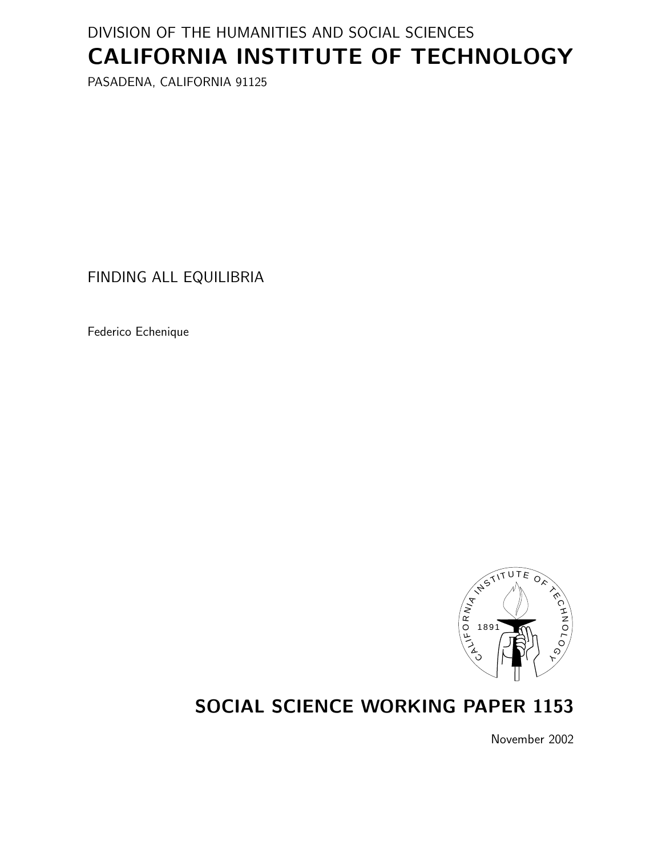# DIVISION OF THE HUMANITIES AND SOCIAL SCIENCES CALIFORNIA INSTITUTE OF TECHNOLOGY

PASADENA, CALIFORNIA 91125

FINDING ALL EQUILIBRIA

Federico Echenique



# SOCIAL SCIENCE WORKING PAPER 1153

November 2002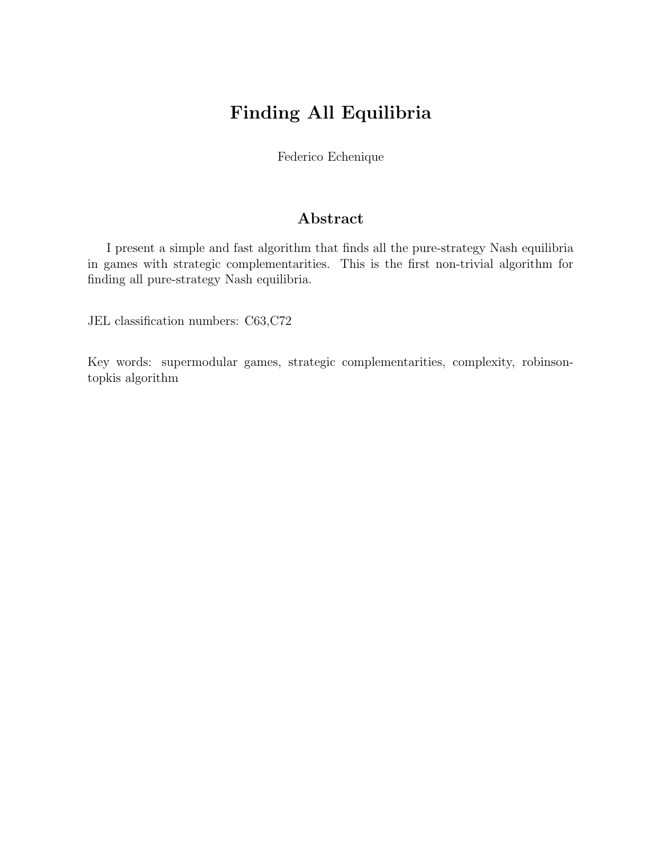# Finding All Equilibria

Federico Echenique

### Abstract

I present a simple and fast algorithm that finds all the pure-strategy Nash equilibria in games with strategic complementarities. This is the first non-trivial algorithm for finding all pure-strategy Nash equilibria.

JEL classification numbers: C63,C72

Key words: supermodular games, strategic complementarities, complexity, robinsontopkis algorithm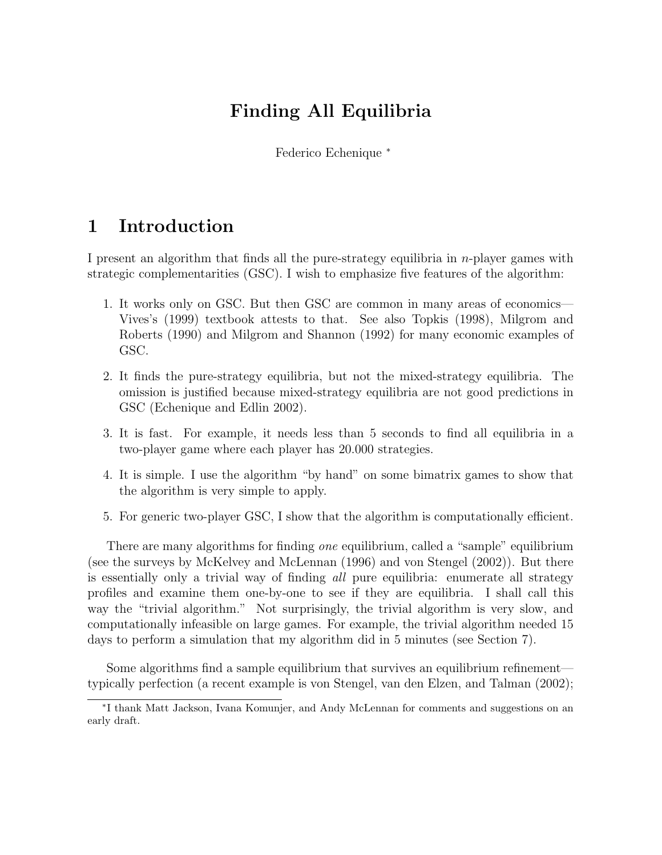# Finding All Equilibria

Federico Echenique <sup>∗</sup>

## 1 Introduction

I present an algorithm that finds all the pure-strategy equilibria in  $n$ -player games with strategic complementarities (GSC). I wish to emphasize five features of the algorithm:

- 1. It works only on GSC. But then GSC are common in many areas of economics— Vives's (1999) textbook attests to that. See also Topkis (1998), Milgrom and Roberts (1990) and Milgrom and Shannon (1992) for many economic examples of GSC.
- 2. It finds the pure-strategy equilibria, but not the mixed-strategy equilibria. The omission is justified because mixed-strategy equilibria are not good predictions in GSC (Echenique and Edlin 2002).
- 3. It is fast. For example, it needs less than 5 seconds to find all equilibria in a two-player game where each player has 20.000 strategies.
- 4. It is simple. I use the algorithm "by hand" on some bimatrix games to show that the algorithm is very simple to apply.
- 5. For generic two-player GSC, I show that the algorithm is computationally efficient.

There are many algorithms for finding *one* equilibrium, called a "sample" equilibrium (see the surveys by McKelvey and McLennan (1996) and von Stengel (2002)). But there is essentially only a trivial way of finding all pure equilibria: enumerate all strategy profiles and examine them one-by-one to see if they are equilibria. I shall call this way the "trivial algorithm." Not surprisingly, the trivial algorithm is very slow, and computationally infeasible on large games. For example, the trivial algorithm needed 15 days to perform a simulation that my algorithm did in 5 minutes (see Section 7).

Some algorithms find a sample equilibrium that survives an equilibrium refinement typically perfection (a recent example is von Stengel, van den Elzen, and Talman (2002);

<sup>∗</sup> I thank Matt Jackson, Ivana Komunjer, and Andy McLennan for comments and suggestions on an early draft.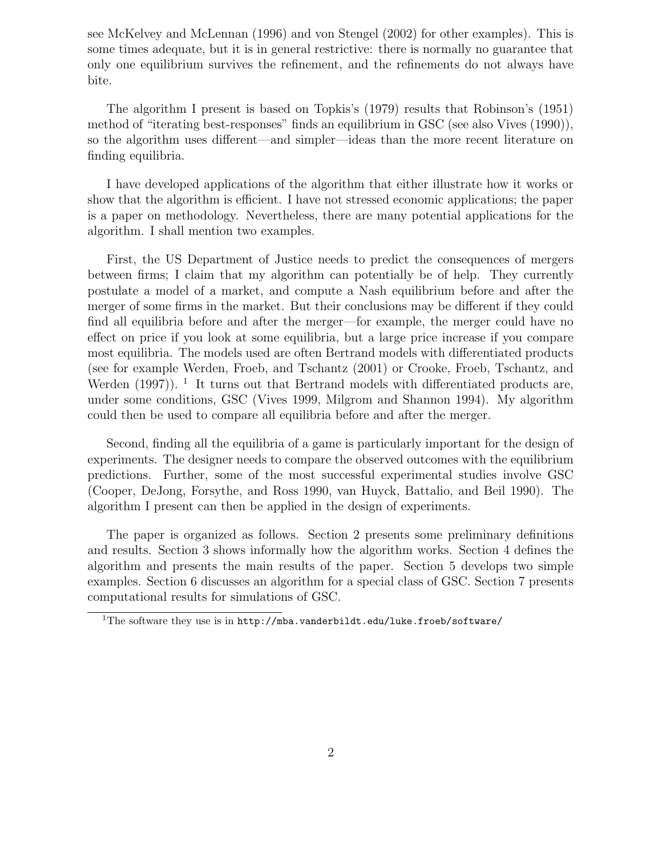see McKelvey and McLennan (1996) and von Stengel (2002) for other examples). This is some times adequate, but it is in general restrictive: there is normally no guarantee that only one equilibrium survives the refinement, and the refinements do not always have bite.

The algorithm I present is based on Topkis's (1979) results that Robinson's (1951) method of "iterating best-responses" finds an equilibrium in GSC (see also Vives (1990)), so the algorithm uses different—and simpler—ideas than the more recent literature on finding equilibria.

I have developed applications of the algorithm that either illustrate how it works or show that the algorithm is efficient. I have not stressed economic applications; the paper is a paper on methodology. Nevertheless, there are many potential applications for the algorithm. I shall mention two examples.

First, the US Department of Justice needs to predict the consequences of mergers between firms; I claim that my algorithm can potentially be of help. They currently postulate a model of a market, and compute a Nash equilibrium before and after the merger of some firms in the market. But their conclusions may be different if they could find all equilibria before and after the merger—for example, the merger could have no effect on price if you look at some equilibria, but a large price increase if you compare most equilibria. The models used are often Bertrand models with differentiated products (see for example Werden, Froeb, and Tschantz (2001) or Crooke, Froeb, Tschantz, and Werden  $(1997)$ ). <sup>1</sup> It turns out that Bertrand models with differentiated products are, under some conditions, GSC (Vives 1999, Milgrom and Shannon 1994). My algorithm could then be used to compare all equilibria before and after the merger.

Second, finding all the equilibria of a game is particularly important for the design of experiments. The designer needs to compare the observed outcomes with the equilibrium predictions. Further, some of the most successful experimental studies involve GSC (Cooper, DeJong, Forsythe, and Ross 1990, van Huyck, Battalio, and Beil 1990). The algorithm I present can then be applied in the design of experiments.

The paper is organized as follows. Section 2 presents some preliminary definitions and results. Section 3 shows informally how the algorithm works. Section 4 defines the algorithm and presents the main results of the paper. Section 5 develops two simple examples. Section 6 discusses an algorithm for a special class of GSC. Section 7 presents computational results for simulations of GSC.

<sup>&</sup>lt;sup>1</sup>The software they use is in  $http://mba.vanderbildt.edu/luke.froeb/software/$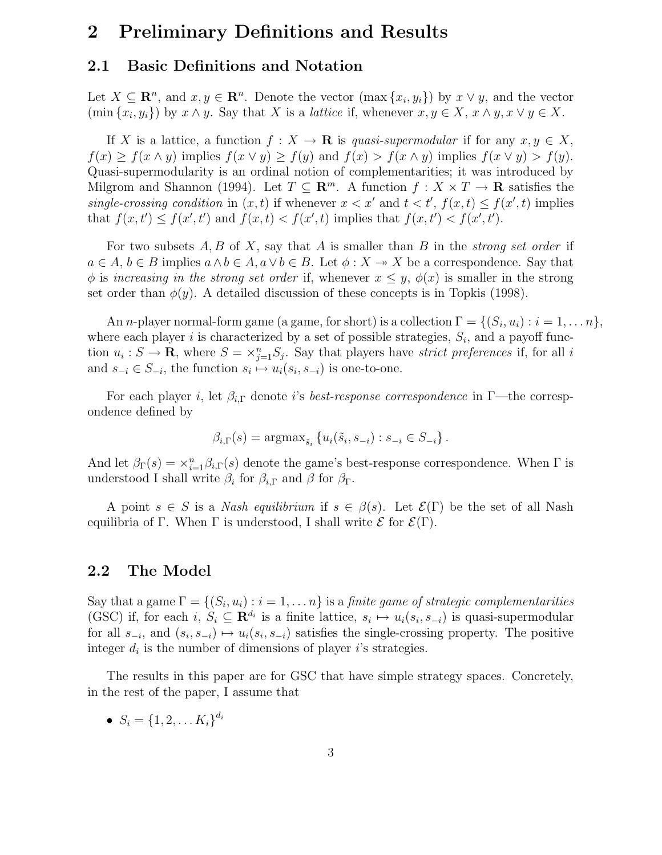### 2 Preliminary Definitions and Results

#### 2.1 Basic Definitions and Notation

Let  $X \subseteq \mathbb{R}^n$ , and  $x, y \in \mathbb{R}^n$ . Denote the vector  $(\max\{x_i, y_i\})$  by  $x \vee y$ , and the vector  $(\min\{x_i,y_i\})$  by  $x \wedge y$ . Say that X is a *lattice* if, whenever  $x, y \in X$ ,  $x \wedge y$ ,  $x \vee y \in X$ .

If X is a lattice, a function  $f: X \to \mathbf{R}$  is quasi-supermodular if for any  $x, y \in X$ ,  $f(x) \ge f(x \wedge y)$  implies  $f(x \vee y) \ge f(y)$  and  $f(x) > f(x \wedge y)$  implies  $f(x \vee y) > f(y)$ . Quasi-supermodularity is an ordinal notion of complementarities; it was introduced by Milgrom and Shannon (1994). Let  $T \subseteq \mathbb{R}^m$ . A function  $f : X \times T \to \mathbb{R}$  satisfies the single-crossing condition in  $(x, t)$  if whenever  $x < x'$  and  $t < t'$ ,  $f(x, t) \le f(x', t)$  implies that  $f(x,t') \leq f(x',t')$  and  $f(x,t) < f(x',t)$  implies that  $f(x,t') < f(x',t')$ .

For two subsets  $A, B$  of  $X$ , say that  $A$  is smaller than  $B$  in the *strong set order* if  $a \in A, b \in B$  implies  $a \wedge b \in A, a \vee b \in B$ . Let  $\phi: X \to X$  be a correspondence. Say that  $\phi$  is increasing in the strong set order if, whenever  $x \leq y$ ,  $\phi(x)$  is smaller in the strong set order than  $\phi(y)$ . A detailed discussion of these concepts is in Topkis (1998).

An *n*-player normal-form game (a game, for short) is a collection  $\Gamma = \{(S_i, u_i) : i = 1, \ldots n\},\$ where each player i is characterized by a set of possible strategies,  $S_i$ , and a payoff function  $u_i: S \to \mathbf{R}$ , where  $S = \times_{j=1}^n S_j$ . Say that players have *strict preferences* if, for all i and  $s_{-i} \in S_{-i}$ , the function  $s_i \mapsto u_i(s_i, s_{-i})$  is one-to-one.

For each player i, let  $\beta_{i,\Gamma}$  denote i's best-response correspondence in Γ—the correspondence defined by

$$
\beta_{i,\Gamma}(s) = \operatorname{argmax}_{\tilde{s}_i} \left\{ u_i(\tilde{s}_i, s_{-i}) : s_{-i} \in S_{-i} \right\}.
$$

And let  $\beta_{\Gamma}(s) = \chi_{i=1}^n \beta_{i,\Gamma}(s)$  denote the game's best-response correspondence. When  $\Gamma$  is understood I shall write  $\beta_i$  for  $\beta_{i,\Gamma}$  and  $\beta$  for  $\beta_{\Gamma}$ .

A point  $s \in S$  is a *Nash equilibrium* if  $s \in \beta(s)$ . Let  $\mathcal{E}(\Gamma)$  be the set of all Nash equilibria of Γ. When Γ is understood, I shall write  $\mathcal E$  for  $\mathcal E(\Gamma)$ .

#### 2.2 The Model

Say that a game  $\Gamma = \{(S_i, u_i) : i = 1, \ldots n\}$  is a *finite game of strategic complementarities* (GSC) if, for each  $i, S_i \subseteq \mathbf{R}^{d_i}$  is a finite lattice,  $s_i \mapsto u_i(s_i, s_{-i})$  is quasi-supermodular for all  $s_{-i}$ , and  $(s_i, s_{-i}) \mapsto u_i(s_i, s_{-i})$  satisfies the single-crossing property. The positive integer  $d_i$  is the number of dimensions of player i's strategies.

The results in this paper are for GSC that have simple strategy spaces. Concretely, in the rest of the paper, I assume that

•  $S_i = \{1, 2, \ldots K_i\}^{d_i}$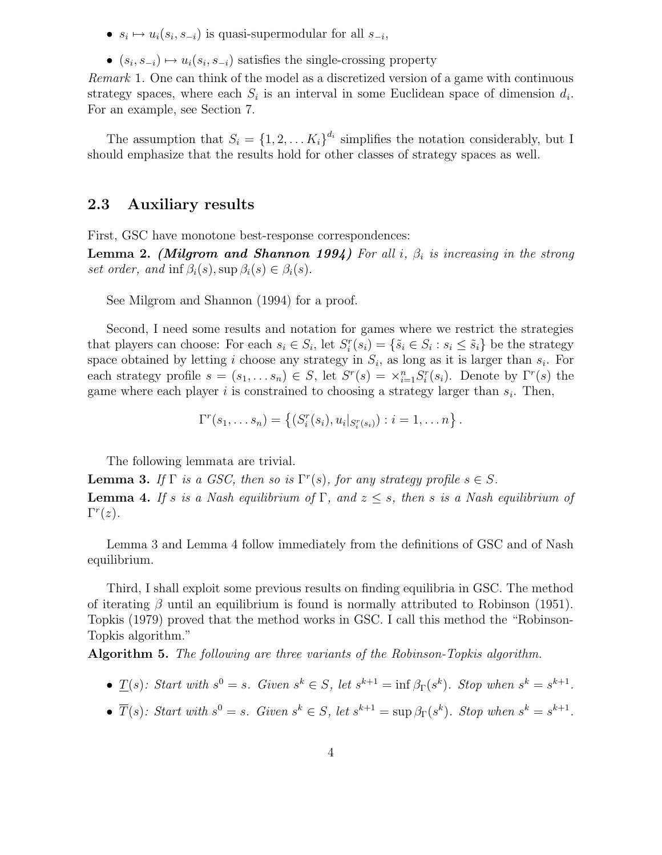- $s_i \mapsto u_i(s_i, s_{-i})$  is quasi-supermodular for all  $s_{-i}$ ,
- $(s_i, s_{-i}) \mapsto u_i(s_i, s_{-i})$  satisfies the single-crossing property

Remark 1. One can think of the model as a discretized version of a game with continuous strategy spaces, where each  $S_i$  is an interval in some Euclidean space of dimension  $d_i$ . For an example, see Section 7.

The assumption that  $S_i = \{1, 2, ..., K_i\}^{d_i}$  simplifies the notation considerably, but I should emphasize that the results hold for other classes of strategy spaces as well.

#### 2.3 Auxiliary results

First, GSC have monotone best-response correspondences:

**Lemma 2.** (Milgrom and Shannon 1994) For all i,  $\beta_i$  is increasing in the strong set order, and inf  $\beta_i(s)$ , sup  $\beta_i(s) \in \beta_i(s)$ .

See Milgrom and Shannon (1994) for a proof.

Second, I need some results and notation for games where we restrict the strategies that players can choose: For each  $s_i \in S_i$ , let  $S_i^r(s_i) = \{\tilde{s}_i \in S_i : s_i \leq \tilde{s}_i\}$  be the strategy space obtained by letting i choose any strategy in  $S_i$ , as long as it is larger than  $s_i$ . For each strategy profile  $s = (s_1, \ldots s_n) \in S$ , let  $S^r(s) = \times_{i=1}^n S_i^r(s_i)$ . Denote by  $\Gamma^r(s)$  the game where each player  $i$  is constrained to choosing a strategy larger than  $s_i$ . Then,

$$
\Gamma^{r}(s_1,\ldots s_n) = \left\{ (S_i^{r}(s_i), u_i|_{S_i^{r}(s_i)}): i = 1,\ldots n \right\}.
$$

The following lemmata are trivial.

**Lemma 3.** If  $\Gamma$  is a GSC, then so is  $\Gamma^r(s)$ , for any strategy profile  $s \in S$ . **Lemma 4.** If s is a Nash equilibrium of  $\Gamma$ , and  $z \leq s$ , then s is a Nash equilibrium of  $\Gamma^r(z)$ .

Lemma 3 and Lemma 4 follow immediately from the definitions of GSC and of Nash equilibrium.

Third, I shall exploit some previous results on finding equilibria in GSC. The method of iterating  $\beta$  until an equilibrium is found is normally attributed to Robinson (1951). Topkis (1979) proved that the method works in GSC. I call this method the "Robinson-Topkis algorithm."

Algorithm 5. The following are three variants of the Robinson-Topkis algorithm.

- $\underline{T}(s)$ : Start with  $s^0 = s$ . Given  $s^k \in S$ , let  $s^{k+1} = \inf \beta_{\Gamma}(s^k)$ . Stop when  $s^k = s^{k+1}$ .
- $\overline{T}(s)$ : Start with  $s^0 = s$ . Given  $s^k \in S$ , let  $s^{k+1} = \sup \beta_{\Gamma}(s^k)$ . Stop when  $s^k = s^{k+1}$ .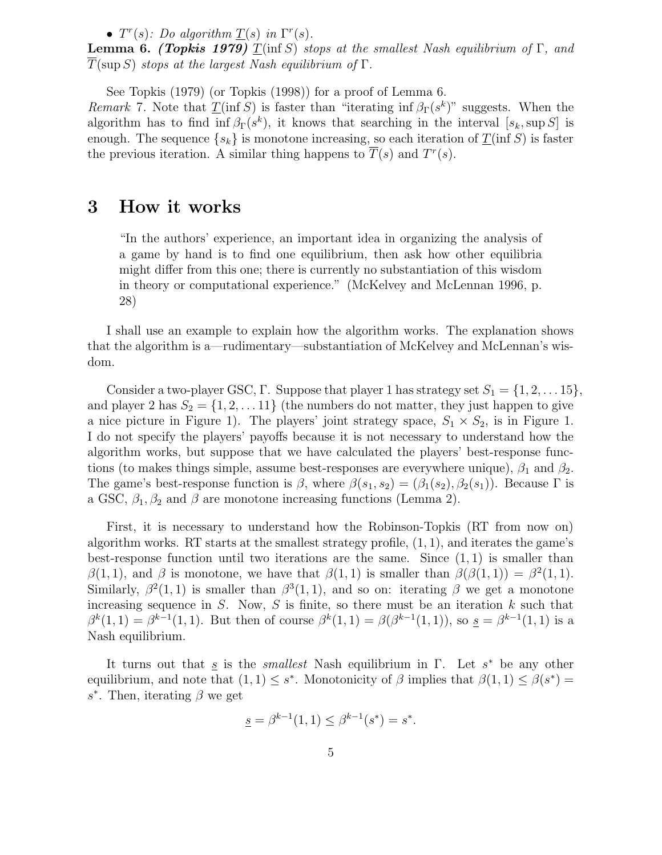•  $T^r(s)$ : Do algorithm  $\underline{T}(s)$  in  $\Gamma^r(s)$ .

**Lemma 6.** (Topkis 1979)  $T(\inf S)$  stops at the smallest Nash equilibrium of  $\Gamma$ , and  $T(\sup S)$  stops at the largest Nash equilibrium of  $\Gamma$ .

See Topkis (1979) (or Topkis (1998)) for a proof of Lemma 6.

*Remark* 7. Note that  $\underline{T}(\inf S)$  is faster than "iterating inf  $\beta_{\Gamma}(s^k)$ " suggests. When the algorithm has to find  $\inf \beta_{\Gamma}(s^k)$ , it knows that searching in the interval  $[s_k, \sup S]$  is enough. The sequence  $\{s_k\}$  is monotone increasing, so each iteration of  $\underline{T}(\inf S)$  is faster the previous iteration. A similar thing happens to  $\overline{T}(s)$  and  $T^r(s)$ .

### 3 How it works

"In the authors' experience, an important idea in organizing the analysis of a game by hand is to find one equilibrium, then ask how other equilibria might differ from this one; there is currently no substantiation of this wisdom in theory or computational experience." (McKelvey and McLennan 1996, p. 28)

I shall use an example to explain how the algorithm works. The explanation shows that the algorithm is a—rudimentary—substantiation of McKelvey and McLennan's wisdom.

Consider a two-player GSC, Γ. Suppose that player 1 has strategy set  $S_1 = \{1, 2, \ldots 15\}$ , and player 2 has  $S_2 = \{1, 2, \ldots 11\}$  (the numbers do not matter, they just happen to give a nice picture in Figure 1). The players' joint strategy space,  $S_1 \times S_2$ , is in Figure 1. I do not specify the players' payoffs because it is not necessary to understand how the algorithm works, but suppose that we have calculated the players' best-response functions (to makes things simple, assume best-responses are everywhere unique),  $\beta_1$  and  $\beta_2$ . The game's best-response function is  $\beta$ , where  $\beta(s_1, s_2) = (\beta_1(s_2), \beta_2(s_1))$ . Because  $\Gamma$  is a GSC,  $\beta_1, \beta_2$  and  $\beta$  are monotone increasing functions (Lemma 2).

First, it is necessary to understand how the Robinson-Topkis (RT from now on) algorithm works. RT starts at the smallest strategy profile,  $(1, 1)$ , and iterates the game's best-response function until two iterations are the same. Since  $(1, 1)$  is smaller than  $\beta(1,1)$ , and  $\beta$  is monotone, we have that  $\beta(1,1)$  is smaller than  $\beta(\beta(1,1)) = \beta^2(1,1)$ . Similarly,  $\beta^2(1,1)$  is smaller than  $\beta^3(1,1)$ , and so on: iterating  $\beta$  we get a monotone increasing sequence in  $S$ . Now,  $S$  is finite, so there must be an iteration  $k$  such that  $\beta^{k}(1,1) = \beta^{k-1}(1,1)$ . But then of course  $\beta^{k}(1,1) = \beta(\beta^{k-1}(1,1))$ , so  $s = \beta^{k-1}(1,1)$  is a Nash equilibrium.

It turns out that <u>s</u> is the *smallest* Nash equilibrium in Γ. Let  $s^*$  be any other equilibrium, and note that  $(1,1) \leq s^*$ . Monotonicity of  $\beta$  implies that  $\beta(1,1) \leq \beta(s^*)$ s<sup>\*</sup>. Then, iterating  $\beta$  we get

$$
\underline{s} = \beta^{k-1}(1,1) \le \beta^{k-1}(s^*) = s^*.
$$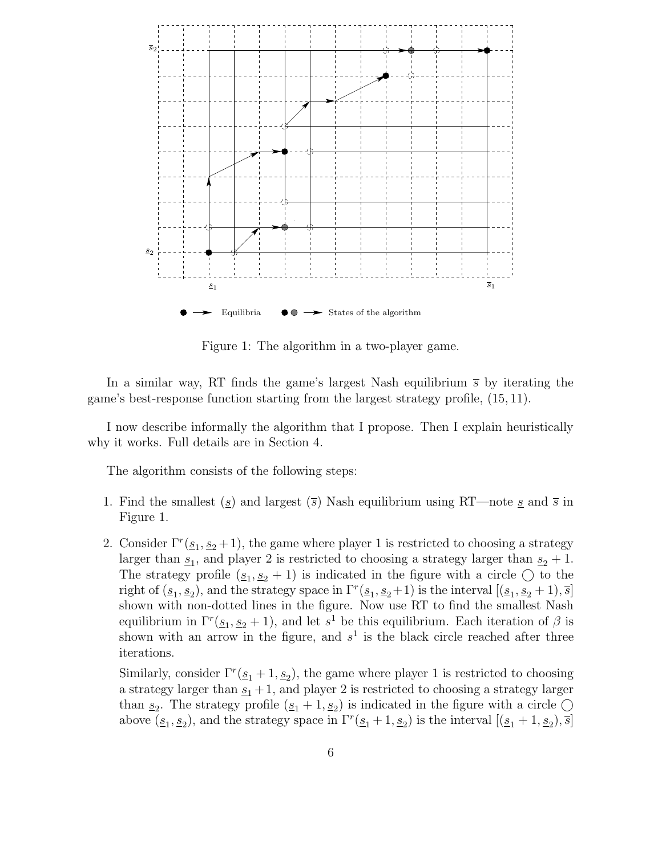

Figure 1: The algorithm in a two-player game.

In a similar way, RT finds the game's largest Nash equilibrium  $\bar{s}$  by iterating the game's best-response function starting from the largest strategy profile, (15, 11).

I now describe informally the algorithm that I propose. Then I explain heuristically why it works. Full details are in Section 4.

The algorithm consists of the following steps:

- 1. Find the smallest ( $\underline{s}$ ) and largest ( $\overline{s}$ ) Nash equilibrium using RT—note <u>s</u> and  $\overline{s}$  in Figure 1.
- 2. Consider  $\Gamma^r(\underline{s}_1, \underline{s}_2 + 1)$ , the game where player 1 is restricted to choosing a strategy larger than  $s_1$ , and player 2 is restricted to choosing a strategy larger than  $s_2 + 1$ . The strategy profile  $(s_1, s_2 + 1)$  is indicated in the figure with a circle  $\bigcirc$  to the right of  $(\underline{s}_1, \underline{s}_2)$ , and the strategy space in  $\Gamma^r(\underline{s}_1, \underline{s}_2 + 1)$  is the interval  $[(\underline{s}_1, \underline{s}_2 + 1), \overline{s}]$ shown with non-dotted lines in the figure. Now use RT to find the smallest Nash equilibrium in  $\Gamma^r(\underline{s}_1, \underline{s}_2 + 1)$ , and let  $s^1$  be this equilibrium. Each iteration of  $\beta$  is shown with an arrow in the figure, and  $s<sup>1</sup>$  is the black circle reached after three iterations.

Similarly, consider  $\Gamma^r(\underline{s}_1 + 1, \underline{s}_2)$ , the game where player 1 is restricted to choosing a strategy larger than  $s_1 + 1$ , and player 2 is restricted to choosing a strategy larger than  $s_2$ . The strategy profile  $(s_1 + 1, s_2)$  is indicated in the figure with a circle  $\bigcirc$ above  $(\underline{s}_1, \underline{s}_2)$ , and the strategy space in  $\Gamma^r(\underline{s}_1 + 1, \underline{s}_2)$  is the interval  $[(\underline{s}_1 + 1, \underline{s}_2), \overline{s}]$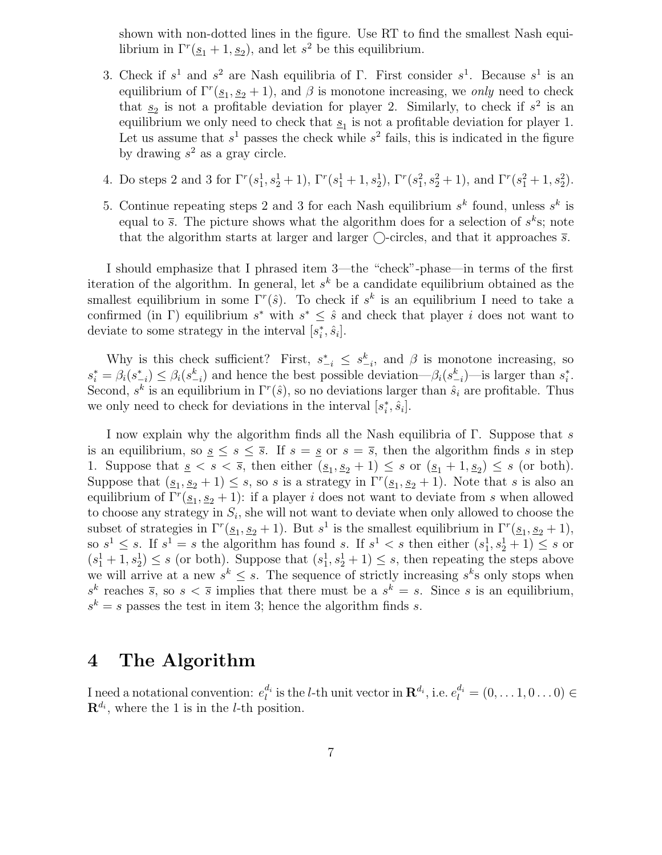shown with non-dotted lines in the figure. Use RT to find the smallest Nash equilibrium in  $\Gamma^r(\underline{s}_1 + 1, \underline{s}_2)$ , and let  $s^2$  be this equilibrium.

- 3. Check if  $s^1$  and  $s^2$  are Nash equilibria of  $\Gamma$ . First consider  $s^1$ . Because  $s^1$  is an equilibrium of  $\Gamma^r(\underline{s}_1, \underline{s}_2 + 1)$ , and  $\beta$  is monotone increasing, we only need to check that  $s_2$  is not a profitable deviation for player 2. Similarly, to check if  $s^2$  is an equilibrium we only need to check that  $\underline{s}_1$  is not a profitable deviation for player 1. Let us assume that  $s^1$  passes the check while  $s^2$  fails, this is indicated in the figure by drawing  $s^2$  as a gray circle.
- 4. Do steps 2 and 3 for  $\Gamma^r(s_1^1, s_2^1 + 1)$ ,  $\Gamma^r(s_1^1 + 1, s_2^1)$ ,  $\Gamma^r(s_1^2, s_2^2 + 1)$ , and  $\Gamma^r(s_1^2 + 1, s_2^2)$ .
- 5. Continue repeating steps 2 and 3 for each Nash equilibrium  $s^k$  found, unless  $s^k$  is equal to  $\bar{s}$ . The picture shows what the algorithm does for a selection of  $s^k s$ ; note that the algorithm starts at larger and larger  $\bigcirc$ -circles, and that it approaches  $\overline{s}$ .

I should emphasize that I phrased item 3—the "check"-phase—in terms of the first iteration of the algorithm. In general, let  $s^k$  be a candidate equilibrium obtained as the smallest equilibrium in some  $\Gamma^r(\hat{s})$ . To check if  $s^k$  is an equilibrium I need to take a confirmed (in  $\Gamma$ ) equilibrium  $s^*$  with  $s^* \leq \hat{s}$  and check that player i does not want to deviate to some strategy in the interval  $[s_i^*]$  $\hat{i}$ ,  $\hat{s}_i$ .

Why is this check sufficient? First,  $s_{-i}^* \leq s_{-i}^k$ , and  $\beta$  is monotone increasing, so  $s_i^* = \beta_i(s_{-i}^*) \leq \beta_i(s_{-i}^k)$  and hence the best possible deviation— $\beta_i(s_{-i}^k)$ —is larger than  $s_i^*$  $\frac{*}{i}$ . Second,  $s^k$  is an equilibrium in  $\Gamma^r(\hat{s})$ , so no deviations larger than  $\hat{s}_i$  are profitable. Thus we only need to check for deviations in the interval  $[s_i^*]$  $\hat{i}$ ,  $\hat{s}_i$ .

I now explain why the algorithm finds all the Nash equilibria of Γ. Suppose that s is an equilibrium, so  $s \leq s \leq \overline{s}$ . If  $s = s$  or  $s = \overline{s}$ , then the algorithm finds s in step 1. Suppose that  $s \leq s \leq \overline{s}$ , then either  $(s_1, s_2 + 1) \leq s$  or  $(s_1 + 1, s_2) \leq s$  (or both). Suppose that  $(s_1, s_2 + 1) \leq s$ , so s is a strategy in  $\Gamma^r(s_1, s_2 + 1)$ . Note that s is also an equilibrium of  $\Gamma^r(\underline{s}_1, \underline{s}_2 + 1)$ : if a player *i* does not want to deviate from *s* when allowed to choose any strategy in  $S_i$ , she will not want to deviate when only allowed to choose the subset of strategies in  $\Gamma^r(\underline{s}_1, \underline{s}_2 + 1)$ . But  $s^1$  is the smallest equilibrium in  $\Gamma^r(\underline{s}_1, \underline{s}_2 + 1)$ , so  $s^1 \leq s$ . If  $s^1 = s$  the algorithm has found s. If  $s^1 < s$  then either  $(s_1^1, s_2^1 + 1) \leq s$  or  $(s_1^1 + 1, s_2^1) \leq s$  (or both). Suppose that  $(s_1^1, s_2^1 + 1) \leq s$ , then repeating the steps above we will arrive at a new  $s^k \leq s$ . The sequence of strictly increasing  $s^k$ s only stops when  $s^k$  reaches  $\overline{s}$ , so  $s < \overline{s}$  implies that there must be a  $s^k = s$ . Since s is an equilibrium,  $s^k = s$  passes the test in item 3; hence the algorithm finds s.

### 4 The Algorithm

I need a notational convention:  $e_l^{d_i}$  $l_l^{d_i}$  is the *l*-th unit vector in  $\mathbf{R}^{d_i}$ , i.e.  $e_l^{d_i} = (0, \ldots 1, 0 \ldots 0) \in$  $\mathbf{R}^{d_i}$ , where the 1 is in the *l*-th position.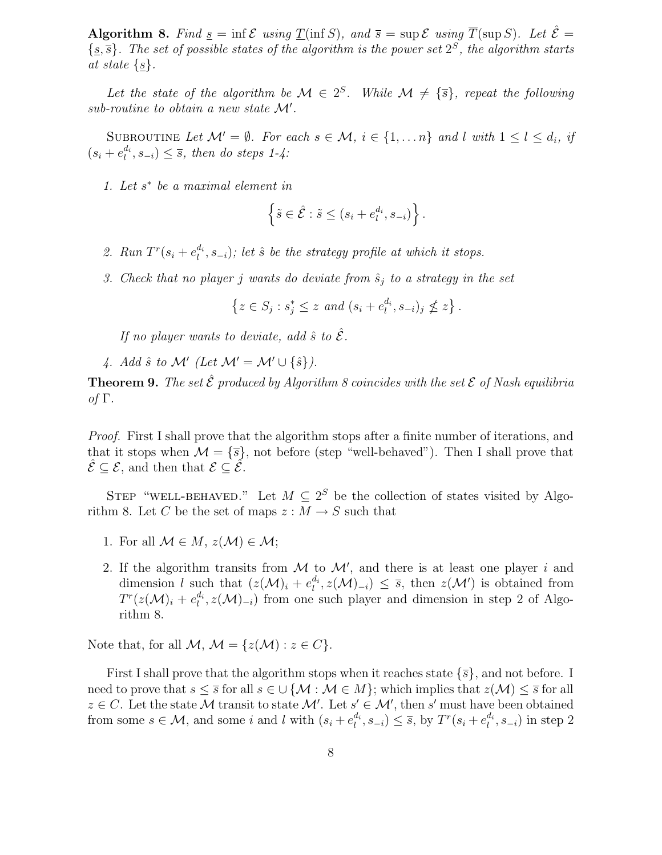Algorithm 8. Find  $\underline{s} = \inf \mathcal{E}$  using  $\underline{T}(\inf S)$ , and  $\overline{s} = \sup \mathcal{E}$  using  $\overline{T}(\sup S)$ . Let  $\hat{\mathcal{E}} =$  $\{\underline{s}, \overline{s}\}.$  The set of possible states of the algorithm is the power set  $2^S$ , the algorithm starts at state  $\{s\}.$ 

Let the state of the algorithm be  $\mathcal{M} \in 2^S$ . While  $\mathcal{M} \neq {\overline{s}}$ , repeat the following  $sub-routine to obtain a new state M'.$ 

SUBROUTINE Let  $\mathcal{M}' = \emptyset$ . For each  $s \in \mathcal{M}, i \in \{1, ..., n\}$  and l with  $1 \leq l \leq d_i$ , if  $(s_i + e_l^{d_i})$  $\binom{a_i}{l}, s_{-i} \leq \overline{s}$ , then do steps 1-4:

1. Let  $s^*$  be a maximal element in

$$
\left\{\tilde{s}\in\hat{\mathcal{E}}:\tilde{s}\leq (s_i+e_l^{d_i},s_{-i})\right\}.
$$

- 2. Run  $T^r(s_i + e_i^{d_i})$  $\binom{a_i}{l}, s_{-i}$ ); let  $\hat{s}$  be the strategy profile at which it stops.
- 3. Check that no player j wants do deviate from  $\hat{s}_j$  to a strategy in the set

$$
\left\{z \in S_j : s_j^* \le z \text{ and } (s_i + e_l^{d_i}, s_{-i})_j \nleq z\right\}.
$$

If no player wants to deviate, add  $\hat{s}$  to  $\hat{\mathcal{E}}$ .

4. Add  $\hat{s}$  to M' (Let  $\mathcal{M}' = \mathcal{M}' \cup \{\hat{s}\}\$ ).

**Theorem 9.** The set  $\hat{\mathcal{E}}$  produced by Algorithm 8 coincides with the set  $\mathcal{E}$  of Nash equilibria of Γ.

Proof. First I shall prove that the algorithm stops after a finite number of iterations, and that it stops when  $\mathcal{M} = {\overline{s}}$ , not before (step "well-behaved"). Then I shall prove that  $\mathcal{E} \subset \mathcal{E}$ , and then that  $\mathcal{E} \subset \mathcal{E}$ .

STEP "WELL-BEHAVED." Let  $M \subseteq 2^S$  be the collection of states visited by Algorithm 8. Let C be the set of maps  $z : M \to S$  such that

- 1. For all  $\mathcal{M} \in M$ ,  $z(\mathcal{M}) \in \mathcal{M}$ ;
- 2. If the algorithm transits from  $M$  to  $M'$ , and there is at least one player i and dimension l such that  $(z(\mathcal{M})_i + e_i^{d_i})$  $\ell_i^{d_i}, z(\mathcal{M})_{-i}) \leq \overline{s}$ , then  $z(\mathcal{M}')$  is obtained from  $T^r(z({\cal M})_i+e^{d_i}_l$  $\mathcal{U}^{a_i}$ ,  $z(\mathcal{M})_{-i}$ ) from one such player and dimension in step 2 of Algorithm 8.

Note that, for all  $M, M = \{z(M) : z \in C\}.$ 

First I shall prove that the algorithm stops when it reaches state  $\{\overline{s}\}\$ , and not before. I need to prove that  $s \leq \overline{s}$  for all  $s \in \bigcup \{M : M \in M\}$ ; which implies that  $z(M) \leq \overline{s}$  for all  $z \in C$ . Let the state M transit to state M'. Let  $s' \in \mathcal{M}'$ , then s' must have been obtained from some  $s \in \mathcal{M}$ , and some i and l with  $(s_i + e_i^{d_i})$  $\binom{d_i}{l}, s_{-i} \leq \overline{s}$ , by  $T^r(s_i + e_i^{d_i})$  $\binom{a_i}{l}, s_{-i}$  in step 2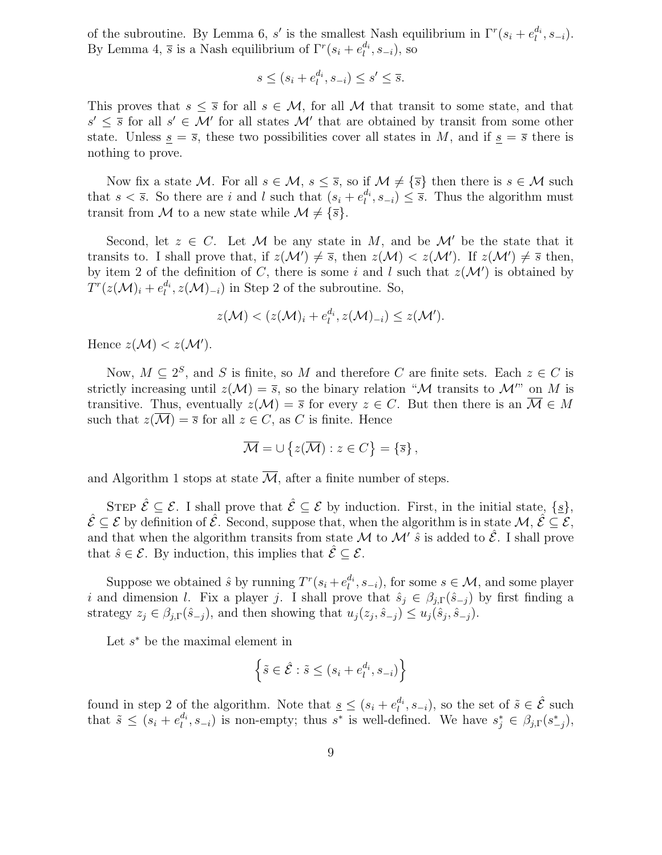of the subroutine. By Lemma 6, s' is the smallest Nash equilibrium in  $\Gamma^r(s_i + e_i^{d_i})$  $\binom{a_i}{l}, S_{-i}$ . By Lemma 4,  $\bar{s}$  is a Nash equilibrium of  $\Gamma^{r}(s_i + e_i^{d_i})$  $l^{a_i}, s_{-i}$ ), so

$$
s \le (s_i + e_l^{d_i}, s_{-i}) \le s' \le \overline{s}.
$$

This proves that  $s \leq \overline{s}$  for all  $s \in M$ , for all M that transit to some state, and that  $s' \leq \overline{s}$  for all  $s' \in \mathcal{M}'$  for all states  $\mathcal{M}'$  that are obtained by transit from some other state. Unless  $s = \overline{s}$ , these two possibilities cover all states in M, and if  $s = \overline{s}$  there is nothing to prove.

Now fix a state M. For all  $s \in M$ ,  $s \leq \overline{s}$ , so if  $M \neq {\overline{s}}$  then there is  $s \in M$  such that  $s < \overline{s}$ . So there are i and l such that  $(s_i + e_i^{d_i})$  $\ell_i^{a_i}, s_{-i} \leq \overline{s}$ . Thus the algorithm must transit from M to a new state while  $\mathcal{M} \neq {\overline{s}}$ .

Second, let  $z \in C$ . Let M be any state in M, and be M' be the state that it transits to. I shall prove that, if  $z(\mathcal{M}') \neq \overline{s}$ , then  $z(\mathcal{M}) < z(\mathcal{M}')$ . If  $z(\mathcal{M}') \neq \overline{s}$  then, by item 2 of the definition of C, there is some i and l such that  $z(\mathcal{M}')$  is obtained by  $T^r(z(\mathcal{M})_i+e_l^{d_i}$  $\ell_i^{d_i}$ ,  $z(\mathcal{M})_{-i}$ ) in Step 2 of the subroutine. So,

$$
z(\mathcal{M}) < (z(\mathcal{M})_i + e_l^{d_i}, z(\mathcal{M})_{-i}) \leq z(\mathcal{M}').
$$

Hence  $z(\mathcal{M}) < z(\mathcal{M}')$ .

Now,  $M \subseteq 2^S$ , and S is finite, so M and therefore C are finite sets. Each  $z \in C$  is strictly increasing until  $z(\mathcal{M}) = \overline{s}$ , so the binary relation "M transits to  $\mathcal{M}$ " on M is transitive. Thus, eventually  $z(\mathcal{M}) = \overline{s}$  for every  $z \in C$ . But then there is an  $\overline{\mathcal{M}} \in M$ such that  $z(\mathcal{M}) = \overline{s}$  for all  $z \in C$ , as C is finite. Hence

$$
\overline{\mathcal{M}} = \cup \{ z(\overline{\mathcal{M}}) : z \in C \} = \{ \overline{s} \},
$$

and Algorithm 1 stops at state  $\overline{\mathcal{M}}$ , after a finite number of steps.

STEP  $\hat{\mathcal{E}} \subseteq \mathcal{E}$ . I shall prove that  $\hat{\mathcal{E}} \subseteq \mathcal{E}$  by induction. First, in the initial state,  $\{s\}$ ,  $\hat{\mathcal{E}} \subseteq \mathcal{E}$  by definition of  $\hat{\mathcal{E}}$ . Second, suppose that, when the algorithm is in state  $\mathcal{M}, \hat{\mathcal{E}} \subseteq \mathcal{E}$ , and that when the algorithm transits from state  $\mathcal M$  to  $\mathcal M'$   $\hat s$  is added to  $\hat{\mathcal E}$ . I shall prove that  $\hat{s} \in \mathcal{E}$ . By induction, this implies that  $\hat{\mathcal{E}} \subseteq \mathcal{E}$ .

Suppose we obtained  $\hat{s}$  by running  $T^r(s_i + e_i^{d_i})$  $\mathbf{I}_{l}^{d_i}, s_{-i}$ , for some  $s \in \mathcal{M}$ , and some player i and dimension l. Fix a player j. I shall prove that  $\hat{s}_j \in \beta_{j,\Gamma}(\hat{s}_{-j})$  by first finding a strategy  $z_j \in \beta_{j,\Gamma}(\hat{s}_{-j}),$  and then showing that  $u_j(z_j, \hat{s}_{-j}) \leq u_j(\hat{s}_j, \hat{s}_{-j}).$ 

Let  $s^*$  be the maximal element in

$$
\left\{ \tilde{s} \in \hat{\mathcal{E}} : \tilde{s} \le (s_i + e_l^{d_i}, s_{-i}) \right\}
$$

found in step 2 of the algorithm. Note that  $s \leq (s_i + e_i^{d_i})$  $\ell_i^{d_i}, s_{-i}$ ), so the set of  $\tilde{s} \in \hat{\mathcal{E}}$  such that  $\tilde{s} \leq (s_i + e_i^{d_i})$  $l_i^{d_i}, s_{-i}$ ) is non-empty; thus s<sup>\*</sup> is well-defined. We have  $s_j^* \in \beta_{j,\Gamma}(s_{-j}^*),$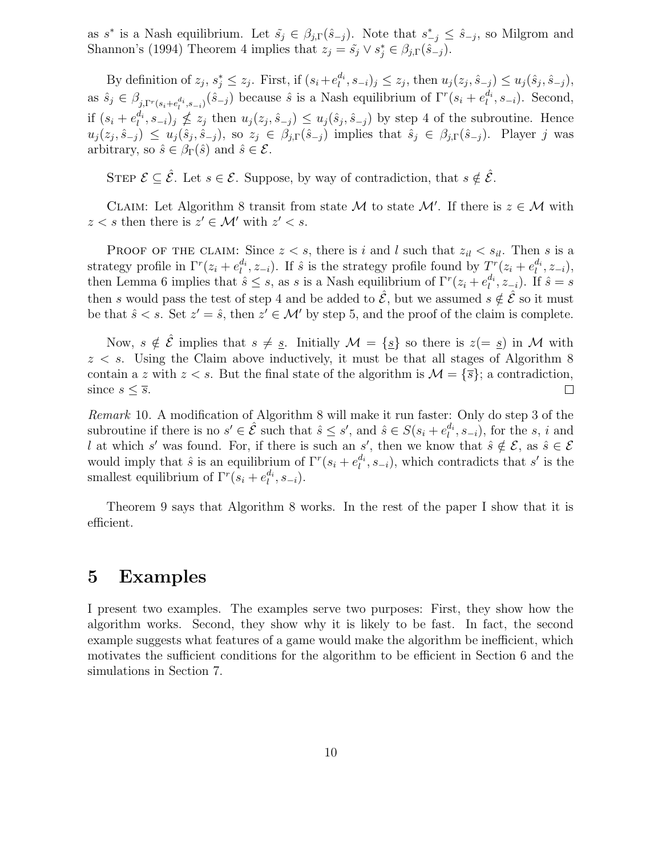as  $s^*$  is a Nash equilibrium. Let  $\tilde{s}_j \in \beta_{j,\Gamma}(\hat{s}_{-j})$ . Note that  $s^*_{-j} \leq \hat{s}_{-j}$ , so Milgrom and Shannon's (1994) Theorem 4 implies that  $z_j = \tilde{s}_j \vee s_j^* \in \beta_{j,\Gamma}(\tilde{s}_{-j}).$ 

By definition of  $z_j$ ,  $s_j^* \leq z_j$ . First, if  $(s_i + e_i^{d_i})$  $\left\{ \begin{aligned}^{a_i}_{l}, s_{-i} \end{aligned} \right\} \leq z_j$ , then  $u_j(z_j, \hat{s}_{-j}) \leq u_j(\hat{s}_j, \hat{s}_{-j}),$ as  $\hat{s}_j \in \beta_{j,\Gamma^r(s_i+e_i^{d_i}, s_{-i})}(\hat{s}_{-j})$  because  $\hat{s}$  is a Nash equilibrium of  $\Gamma^r(s_i+e_i^{d_i})$  $l_i^{d_i}, s_{-i}$ ). Second, if  $(s_i + e_l^{d_i})$  $\{u_i^a, s_{-i}\}_j \nleq z_j$  then  $u_j(z_j, \hat{s}_{-j}) \leq u_j(\hat{s}_j, \hat{s}_{-j})$  by step 4 of the subroutine. Hence  $u_j(z_j, \hat{s}_{-j}) \leq u_j(\hat{s}_j, \hat{s}_{-j}),$  so  $z_j \in \beta_{j,\Gamma}(\hat{s}_{-j})$  implies that  $\hat{s}_j \in \beta_{j,\Gamma}(\hat{s}_{-j}).$  Player j was arbitrary, so  $\hat{s} \in \beta_{\Gamma}(\hat{s})$  and  $\hat{s} \in \mathcal{E}$ .

STEP  $\mathcal{E} \subseteq \hat{\mathcal{E}}$ . Let  $s \in \mathcal{E}$ . Suppose, by way of contradiction, that  $s \notin \hat{\mathcal{E}}$ .

CLAIM: Let Algorithm 8 transit from state M to state  $\mathcal{M}'$ . If there is  $z \in \mathcal{M}$  with  $z < s$  then there is  $z' \in \mathcal{M}'$  with  $z' < s$ .

PROOF OF THE CLAIM: Since  $z < s$ , there is i and l such that  $z_{il} < s_{il}$ . Then s is a strategy profile in  $\Gamma^r(z_i + e_i^{d_i})$  $\mathcal{L}_l^{d_i}, z_{-i}$ ). If  $\hat{s}$  is the strategy profile found by  $T_i^r(z_i + e_l^{d_i})$  $l^{d_i}, z_{-i}),$ then Lemma 6 implies that  $\hat{s} \leq s$ , as s is a Nash equilibrium of  $\Gamma^r(z_i + e_i^{d_i})$  $l_i^{a_i}, z_{-i}$ ). If  $\hat{s} = s$ then s would pass the test of step 4 and be added to  $\mathcal{E}$ , but we assumed  $s \notin \mathcal{E}$  so it must be that  $\hat{s} < s$ . Set  $z' = \hat{s}$ , then  $z' \in \mathcal{M}'$  by step 5, and the proof of the claim is complete.

Now,  $s \notin \hat{\mathcal{E}}$  implies that  $s \neq \underline{s}$ . Initially  $\mathcal{M} = \{\underline{s}\}\$ iso there is  $z(=\underline{s})$  in  $\mathcal{M}$  with  $z < s$ . Using the Claim above inductively, it must be that all stages of Algorithm 8 contain a z with  $z < s$ . But the final state of the algorithm is  $\mathcal{M} = \{\overline{s}\};$  a contradiction, since  $s \leq \overline{s}$ .  $\Box$ 

Remark 10. A modification of Algorithm 8 will make it run faster: Only do step 3 of the subroutine if there is no  $s' \in \hat{\mathcal{E}}$  such that  $\hat{s} \leq s'$ , and  $\hat{s} \in S(s_i + e_i^{d_i})$  $\binom{a_i}{l}, s_{-i}$ , for the s, i and l at which s' was found. For, if there is such an s', then we know that  $\hat{s} \notin \mathcal{E}$ , as  $\hat{s} \in \mathcal{E}$ would imply that  $\hat{s}$  is an equilibrium of  $\Gamma^r(s_i + e_i^{d_i})$  $\binom{d_i}{l}, s_{-i}$ , which contradicts that s' is the smallest equilibrium of  $\Gamma^{r}(s_i + e_i^{d_i})$  $\binom{a_i}{l}, S_{-i}$ .

Theorem 9 says that Algorithm 8 works. In the rest of the paper I show that it is efficient.

### 5 Examples

I present two examples. The examples serve two purposes: First, they show how the algorithm works. Second, they show why it is likely to be fast. In fact, the second example suggests what features of a game would make the algorithm be inefficient, which motivates the sufficient conditions for the algorithm to be efficient in Section 6 and the simulations in Section 7.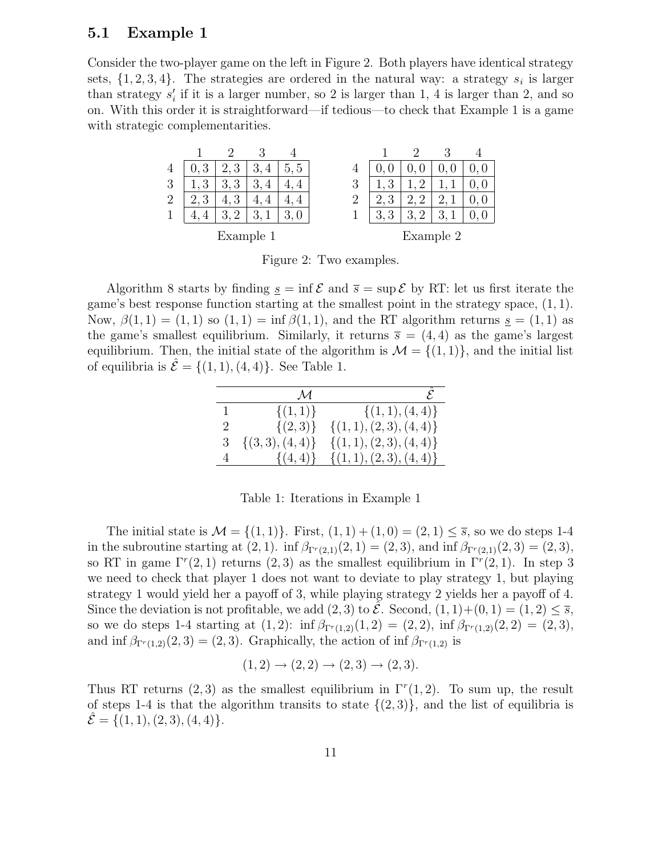#### 5.1 Example 1

Consider the two-player game on the left in Figure 2. Both players have identical strategy sets,  $\{1, 2, 3, 4\}$ . The strategies are ordered in the natural way: a strategy  $s_i$  is larger than strategy  $s_i'$  $i<sub>i</sub>$  if it is a larger number, so 2 is larger than 1, 4 is larger than 2, and so on. With this order it is straightforward—if tedious—to check that Example 1 is a game with strategic complementarities.

| $\overline{4}$ | റ<br>◡    | ച<br>◡               | 4<br>◡           | G<br>G | 4         |               |                |   |  |
|----------------|-----------|----------------------|------------------|--------|-----------|---------------|----------------|---|--|
| 3              | റ<br>◡    | റ<br>◡<br>IJ         | $\mathbf +$<br>◡ |        | 3         | ว<br>◡        | $\Omega$       |   |  |
| 2              | റ<br>◡    | റ<br>IJ              | 4                |        | 2         | ິ<br>ಲ        | 61<br>↩        | ↩ |  |
|                |           | $\ddot{\phantom{1}}$ |                  | U      |           | Q<br>$\Omega$ | $\Omega$<br>J. | ◡ |  |
|                | Example 1 |                      |                  |        | Example 2 |               |                |   |  |

Figure 2: Two examples.

Algorithm 8 starts by finding  $\underline{s} = \inf \mathcal{E}$  and  $\overline{s} = \sup \mathcal{E}$  by RT: let us first iterate the game's best response function starting at the smallest point in the strategy space, (1, 1). Now,  $\beta(1,1) = (1,1)$  so  $(1,1) = \inf \beta(1,1)$ , and the RT algorithm returns  $s = (1,1)$  as the game's smallest equilibrium. Similarly, it returns  $\bar{s} = (4, 4)$  as the game's largest equilibrium. Then, the initial state of the algorithm is  $\mathcal{M} = \{(1, 1)\}\text{, and the initial list}$ of equilibria is  $\mathcal{E} = \{(1,1), (4,4)\}\.$  See Table 1.

|                | $\mathcal M$        |                            |
|----------------|---------------------|----------------------------|
| $\mathbf{1}$   | $\{(1,1)\}\$        | $\{(1,1),(4,4)\}\$         |
| $\overline{2}$ | $\{(2,3)\}\$        | $\{(1,1), (2,3), (4,4)\}\$ |
| 3              | $\{(3,3), (4,4)\}\$ | $\{(1,1), (2,3), (4,4)\}\$ |
| $\overline{4}$ | $\{(4,4)\}\$        | $\{(1,1),(2,3),(4,4)\}\$   |

Table 1: Iterations in Example 1

The initial state is  $\mathcal{M} = \{(1, 1)\}\.$  First,  $(1, 1) + (1, 0) = (2, 1) \leq \overline{s}$ , so we do steps 1-4 in the subroutine starting at  $(2, 1)$ . inf  $\beta_{\Gamma^{r}(2,1)}(2, 1) = (2, 3)$ , and inf  $\beta_{\Gamma^{r}(2,1)}(2, 3) = (2, 3)$ , so RT in game  $\Gamma^r(2,1)$  returns  $(2,3)$  as the smallest equilibrium in  $\Gamma^r(2,1)$ . In step 3 we need to check that player 1 does not want to deviate to play strategy 1, but playing strategy 1 would yield her a payoff of 3, while playing strategy 2 yields her a payoff of 4. Since the deviation is not profitable, we add  $(2,3)$  to  $\mathcal{E}$ . Second,  $(1,1)+(0,1)=(1,2)\leq \overline{s}$ , so we do steps 1-4 starting at  $(1, 2)$ : inf  $\beta_{\Gamma^{r}(1,2)}(1, 2) = (2, 2)$ , inf  $\beta_{\Gamma^{r}(1,2)}(2, 2) = (2, 3)$ , and inf  $\beta_{\Gamma^{r}(1,2)}(2,3) = (2,3)$ . Graphically, the action of inf  $\beta_{\Gamma^{r}(1,2)}$  is

$$
(1,2) \to (2,2) \to (2,3) \to (2,3).
$$

Thus RT returns (2,3) as the smallest equilibrium in  $\Gamma^r(1,2)$ . To sum up, the result of steps 1-4 is that the algorithm transits to state  $\{(2,3)\}\)$ , and the list of equilibria is  $\mathcal{E} = \{(1, 1), (2, 3), (4, 4)\}.$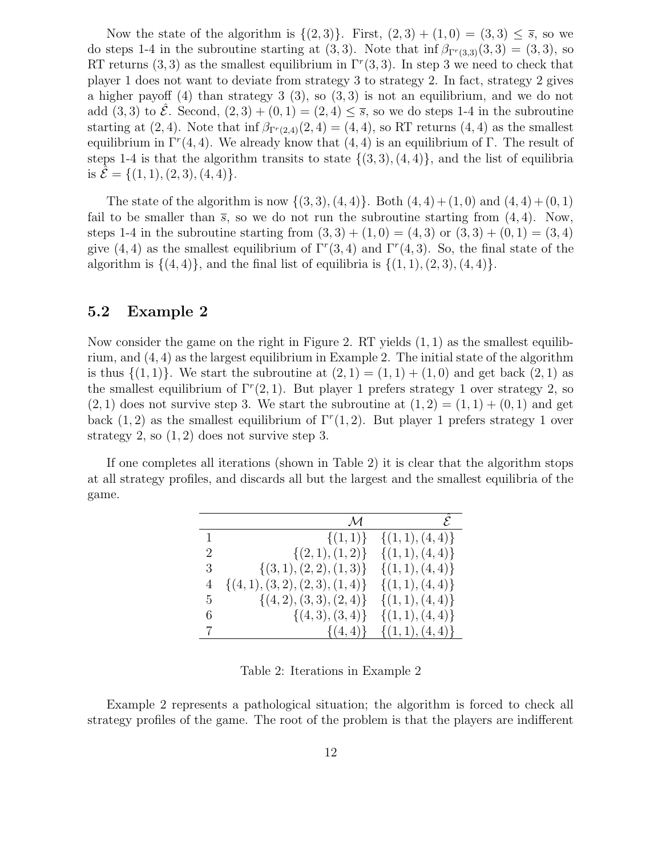Now the state of the algorithm is  $\{(2,3)\}\$ . First,  $(2,3) + (1,0) = (3,3) \leq \overline{s}$ , so we do steps 1-4 in the subroutine starting at  $(3,3)$ . Note that inf  $\beta_{\Gamma^{r}(3,3)}(3,3) = (3,3)$ , so RT returns (3, 3) as the smallest equilibrium in  $\Gamma^r(3,3)$ . In step 3 we need to check that player 1 does not want to deviate from strategy 3 to strategy 2. In fact, strategy 2 gives a higher payoff  $(4)$  than strategy  $3$   $(3)$ , so  $(3,3)$  is not an equilibrium, and we do not add  $(3,3)$  to  $\mathcal{E}$ . Second,  $(2,3) + (0,1) = (2,4) \leq \overline{s}$ , so we do steps 1-4 in the subroutine starting at  $(2, 4)$ . Note that inf  $\beta_{\Gamma^r(2,4)}(2, 4) = (4, 4)$ , so RT returns  $(4, 4)$  as the smallest equilibrium in  $\Gamma^r(4,4)$ . We already know that  $(4,4)$  is an equilibrium of  $\Gamma$ . The result of steps 1-4 is that the algorithm transits to state  $\{(3,3), (4,4)\}$ , and the list of equilibria is  $\mathcal{E} = \{(1, 1), (2, 3), (4, 4)\}.$ 

The state of the algorithm is now  $\{(3,3), (4,4)\}$ . Both  $(4,4) + (1,0)$  and  $(4,4) + (0,1)$ fail to be smaller than  $\overline{s}$ , so we do not run the subroutine starting from (4, 4). Now, steps 1-4 in the subroutine starting from  $(3,3) + (1,0) = (4,3)$  or  $(3,3) + (0,1) = (3,4)$ give  $(4, 4)$  as the smallest equilibrium of  $\Gamma^r(3, 4)$  and  $\Gamma^r(4, 3)$ . So, the final state of the algorithm is  $\{(4,4)\}\$ , and the final list of equilibria is  $\{(1,1),(2,3),(4,4)\}\$ .

#### 5.2 Example 2

Now consider the game on the right in Figure 2. RT yields  $(1, 1)$  as the smallest equilibrium, and  $(4, 4)$  as the largest equilibrium in Example 2. The initial state of the algorithm is thus  $\{(1, 1)\}\$ . We start the subroutine at  $(2, 1) = (1, 1) + (1, 0)$  and get back  $(2, 1)$  as the smallest equilibrium of  $\Gamma^r(2,1)$ . But player 1 prefers strategy 1 over strategy 2, so  $(2, 1)$  does not survive step 3. We start the subroutine at  $(1, 2) = (1, 1) + (0, 1)$  and get back  $(1, 2)$  as the smallest equilibrium of  $\Gamma^r(1, 2)$ . But player 1 prefers strategy 1 over strategy 2, so  $(1, 2)$  does not survive step 3.

If one completes all iterations (shown in Table 2) it is clear that the algorithm stops at all strategy profiles, and discards all but the largest and the smallest equilibria of the game.

|              | $\mathcal M$                      | $\mathcal{E}$      |
|--------------|-----------------------------------|--------------------|
| $\mathbf{1}$ | $\{(1,1)\}\$                      | $\{(1,1),(4,4)\}\$ |
| 2            | $\{(2,1),(1,2)\}\$                | $\{(1,1),(4,4)\}\$ |
| 3            | $\{(3,1),(2,2),(1,3)\}\$          | $\{(1,1),(4,4)\}\$ |
| 4            | $\{(4,1), (3,2), (2,3), (1,4)\}\$ | $\{(1,1),(4,4)\}\$ |
| 5            | $\{(4,2),(3,3),(2,4)\}\$          | $\{(1,1),(4,4)\}\$ |
| 6            | $\{(4,3), (3,4)\}\$               | $\{(1,1),(4,4)\}\$ |
| 7            | $\{(4,4)\}\$                      | $\{(1,1),(4,4)\}\$ |

Table 2: Iterations in Example 2

Example 2 represents a pathological situation; the algorithm is forced to check all strategy profiles of the game. The root of the problem is that the players are indifferent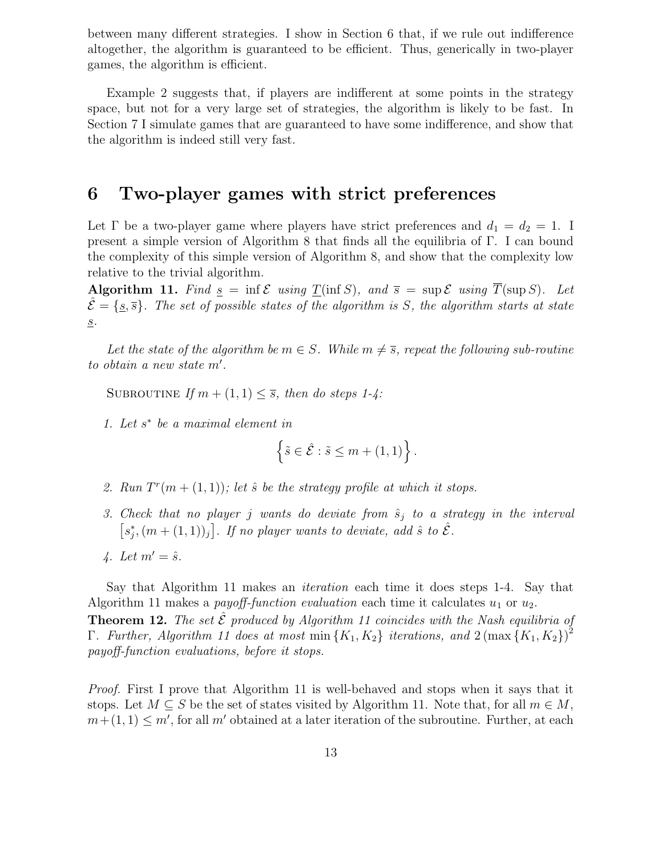between many different strategies. I show in Section 6 that, if we rule out indifference altogether, the algorithm is guaranteed to be efficient. Thus, generically in two-player games, the algorithm is efficient.

Example 2 suggests that, if players are indifferent at some points in the strategy space, but not for a very large set of strategies, the algorithm is likely to be fast. In Section 7 I simulate games that are guaranteed to have some indifference, and show that the algorithm is indeed still very fast.

# 6 Two-player games with strict preferences

Let  $\Gamma$  be a two-player game where players have strict preferences and  $d_1 = d_2 = 1$ . I present a simple version of Algorithm 8 that finds all the equilibria of Γ. I can bound the complexity of this simple version of Algorithm 8, and show that the complexity low relative to the trivial algorithm.

**Algorithm 11.** Find  $\underline{s} = \inf \mathcal{E}$  using  $\underline{T}(\inf S)$ , and  $\overline{s} = \sup \mathcal{E}$  using  $T(\sup S)$ . Let  $\mathcal{E} = \{s, \overline{s}\}\.$  The set of possible states of the algorithm is S, the algorithm starts at state  $\underline{\mathcal{S}}$  .

Let the state of the algorithm be  $m \in S$ . While  $m \neq \overline{s}$ , repeat the following sub-routine to obtain a new state  $m'$ .

SUBROUTINE If  $m + (1, 1) \leq \overline{s}$ , then do steps 1-4:

1. Let  $s^*$  be a maximal element in

$$
\left\{\tilde{s}\in\hat{\mathcal{E}}:\tilde{s}\leq m+(1,1)\right\}.
$$

- 2. Run  $T^r(m+(1,1))$ ; let  $\hat{s}$  be the strategy profile at which it stops.
- 3. Check that no player j wants do deviate from  $\hat{s}_j$  to a strategy in the interval  $\left[s_i^*\right]$  $\hat{f}_j, (m + (1, 1))_j]$ . If no player wants to deviate, add  $\hat{s}$  to  $\hat{\mathcal{E}}$ .
- 4. Let  $m' = \hat{s}$ .

Say that Algorithm 11 makes an iteration each time it does steps 1-4. Say that Algorithm 11 makes a *payoff-function evaluation* each time it calculates  $u_1$  or  $u_2$ .

**Theorem 12.** The set  $\hat{\mathcal{E}}$  produced by Algorithm 11 coincides with the Nash equilibria of  $\Gamma$ . Further, Algorithm 11 does at most min  $\{K_1, K_2\}$  iterations, and  $2(\max{\{K_1, K_2\}})^2$ payoff-function evaluations, before it stops.

Proof. First I prove that Algorithm 11 is well-behaved and stops when it says that it stops. Let  $M \subseteq S$  be the set of states visited by Algorithm 11. Note that, for all  $m \in M$ ,  $m+(1, 1) \leq m'$ , for all m' obtained at a later iteration of the subroutine. Further, at each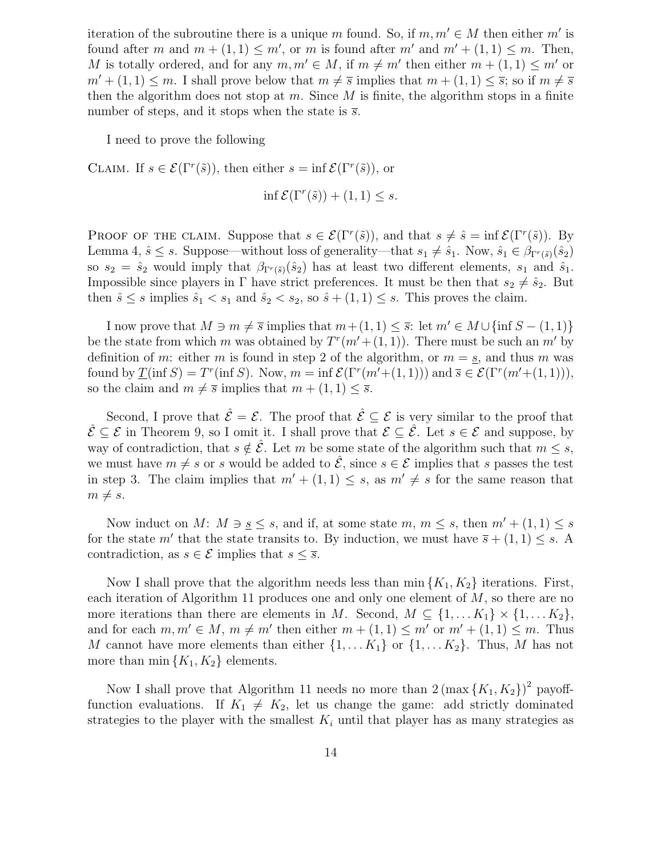iteration of the subroutine there is a unique m found. So, if  $m, m' \in M$  then either m' is found after m and  $m + (1, 1) \le m'$ , or m is found after m' and  $m' + (1, 1) \le m$ . Then, M is totally ordered, and for any  $m, m' \in M$ , if  $m \neq m'$  then either  $m + (1, 1) \leq m'$  or  $m' + (1, 1) \le m$ . I shall prove below that  $m \neq \overline{s}$  implies that  $m + (1, 1) \le \overline{s}$ ; so if  $m \neq \overline{s}$ then the algorithm does not stop at m. Since  $M$  is finite, the algorithm stops in a finite number of steps, and it stops when the state is  $\overline{s}$ .

I need to prove the following

CLAIM. If  $s \in \mathcal{E}(\Gamma^r(\tilde{s}))$ , then either  $s = \inf \mathcal{E}(\Gamma^r(\tilde{s}))$ , or

$$
\inf \mathcal{E}(\Gamma^r(\tilde{s})) + (1,1) \le s.
$$

PROOF OF THE CLAIM. Suppose that  $s \in \mathcal{E}(\Gamma^r(\tilde{s}))$ , and that  $s \neq \hat{s} = \inf \mathcal{E}(\Gamma^r(\tilde{s}))$ . By Lemma 4,  $\hat{s} \leq s$ . Suppose—without loss of generality—that  $s_1 \neq \hat{s}_1$ . Now,  $\hat{s}_1 \in \beta_{\Gamma^r(\tilde{s})}(\hat{s}_2)$ so  $s_2 = \hat{s}_2$  would imply that  $\beta_{\Gamma^r(\tilde{s})}(\hat{s}_2)$  has at least two different elements,  $s_1$  and  $\hat{s}_1$ . Impossible since players in Γ have strict preferences. It must be then that  $s_2 \neq \hat{s}_2$ . But then  $\hat{s} \leq s$  implies  $\hat{s}_1 < s_1$  and  $\hat{s}_2 < s_2$ , so  $\hat{s} + (1, 1) \leq s$ . This proves the claim.

I now prove that  $M \ni m \neq \overline{s}$  implies that  $m+(1, 1) \leq \overline{s}$ : let  $m' \in M \cup \{\inf S - (1, 1)\}\$ be the state from which m was obtained by  $T^{r}(m'+(1, 1))$ . There must be such an m' by definition of m: either m is found in step 2 of the algorithm, or  $m = s$ , and thus m was found by  $\underline{T}(\inf S) = T^r(\inf S)$ . Now,  $m = \inf \mathcal{E}(\Gamma^r(m'+(1,1)))$  and  $\overline{s} \in \mathcal{E}(\Gamma^r(m'+(1,1))),$ so the claim and  $m \neq \overline{s}$  implies that  $m + (1, 1) \leq \overline{s}$ .

Second, I prove that  $\hat{\mathcal{E}} = \mathcal{E}$ . The proof that  $\hat{\mathcal{E}} \subseteq \mathcal{E}$  is very similar to the proof that  $\hat{\mathcal{E}} \subseteq \mathcal{E}$  in Theorem 9, so I omit it. I shall prove that  $\mathcal{E} \subseteq \hat{\mathcal{E}}$ . Let  $s \in \mathcal{E}$  and suppose, by way of contradiction, that  $s \notin \hat{\mathcal{E}}$ . Let m be some state of the algorithm such that  $m \leq s$ , we must have  $m \neq s$  or s would be added to  $\mathcal{E}$ , since  $s \in \mathcal{E}$  implies that s passes the test in step 3. The claim implies that  $m' + (1, 1) \leq s$ , as  $m' \neq s$  for the same reason that  $m \neq s$ .

Now induct on M:  $M \ni s \leq s$ , and if, at some state  $m, m \leq s$ , then  $m' + (1, 1) \leq s$ for the state m' that the state transits to. By induction, we must have  $\overline{s} + (1,1) \leq s$ . A contradiction, as  $s \in \mathcal{E}$  implies that  $s \leq \overline{s}$ .

Now I shall prove that the algorithm needs less than  $\min\{K_1, K_2\}$  iterations. First, each iteration of Algorithm 11 produces one and only one element of M, so there are no more iterations than there are elements in M. Second,  $M \subseteq \{1, \ldots K_1\} \times \{1, \ldots K_2\}$ , and for each  $m, m' \in M$ ,  $m \neq m'$  then either  $m + (1, 1) \leq m'$  or  $m' + (1, 1) \leq m$ . Thus M cannot have more elements than either  $\{1, \ldots K_1\}$  or  $\{1, \ldots K_2\}$ . Thus, M has not more than  $\min\{K_1, K_2\}$  elements.

Now I shall prove that Algorithm 11 needs no more than  $2(\max\{K_1, K_2\})^2$  payofffunction evaluations. If  $K_1 \neq K_2$ , let us change the game: add strictly dominated strategies to the player with the smallest  $K_i$  until that player has as many strategies as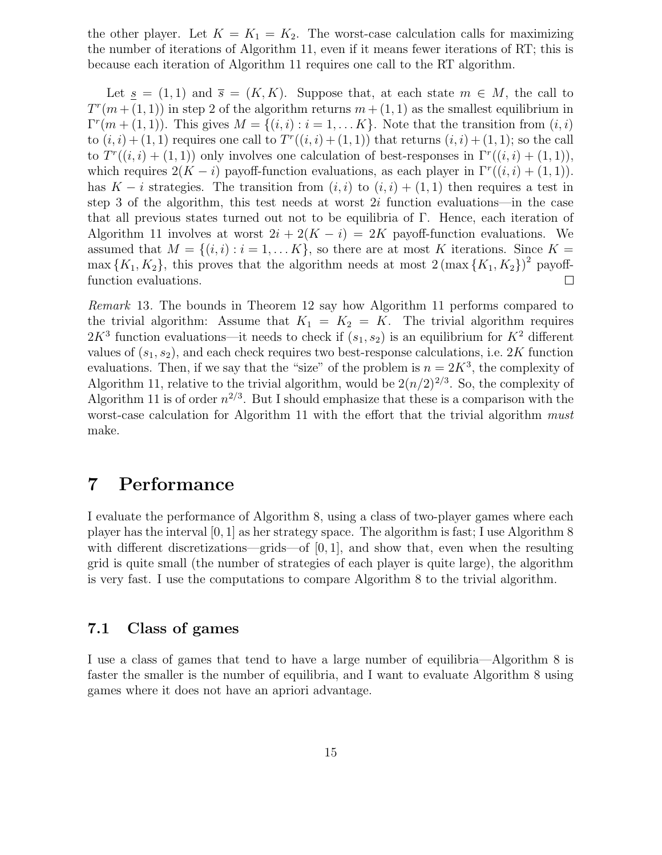the other player. Let  $K = K_1 = K_2$ . The worst-case calculation calls for maximizing the number of iterations of Algorithm 11, even if it means fewer iterations of RT; this is because each iteration of Algorithm 11 requires one call to the RT algorithm.

Let  $s = (1, 1)$  and  $\overline{s} = (K, K)$ . Suppose that, at each state  $m \in M$ , the call to  $T^{r}(m + (1, 1))$  in step 2 of the algorithm returns  $m + (1, 1)$  as the smallest equilibrium in  $\Gamma^{r}(m + (1,1))$ . This gives  $M = \{(i,i) : i = 1,...,K\}$ . Note that the transition from  $(i,i)$ to  $(i, i) + (1, 1)$  requires one call to  $T<sup>r</sup>((i, i) + (1, 1))$  that returns  $(i, i) + (1, 1)$ ; so the call to  $T^r((i,i) + (1,1))$  only involves one calculation of best-responses in  $\Gamma^r((i,i) + (1,1)),$ which requires  $2(K - i)$  payoff-function evaluations, as each player in  $\Gamma^r((i,i) + (1,1))$ . has K – i strategies. The transition from  $(i,i)$  to  $(i,i) + (1,1)$  then requires a test in step 3 of the algorithm, this test needs at worst  $2i$  function evaluations—in the case that all previous states turned out not to be equilibria of  $\Gamma$ . Hence, each iteration of Algorithm 11 involves at worst  $2i + 2(K - i) = 2K$  payoff-function evaluations. We assumed that  $M = \{(i, i) : i = 1, \dots K\}$ , so there are at most K iterations. Since  $K =$  $\max\{K_1, K_2\}$ , this proves that the algorithm needs at most  $2(\max\{K_1, K_2\})^2$  payofffunction evaluations.  $\Box$ 

Remark 13. The bounds in Theorem 12 say how Algorithm 11 performs compared to the trivial algorithm: Assume that  $K_1 = K_2 = K$ . The trivial algorithm requires  $2K^3$  function evaluations—it needs to check if  $(s_1, s_2)$  is an equilibrium for  $K^2$  different values of  $(s_1, s_2)$ , and each check requires two best-response calculations, i.e. 2K function evaluations. Then, if we say that the "size" of the problem is  $n = 2K^3$ , the complexity of Algorithm 11, relative to the trivial algorithm, would be  $2(n/2)^{2/3}$ . So, the complexity of Algorithm 11 is of order  $n^{2/3}$ . But I should emphasize that these is a comparison with the worst-case calculation for Algorithm 11 with the effort that the trivial algorithm must make.

### 7 Performance

I evaluate the performance of Algorithm 8, using a class of two-player games where each player has the interval  $[0, 1]$  as her strategy space. The algorithm is fast; I use Algorithm 8 with different discretizations—grids—of  $[0, 1]$ , and show that, even when the resulting grid is quite small (the number of strategies of each player is quite large), the algorithm is very fast. I use the computations to compare Algorithm 8 to the trivial algorithm.

### 7.1 Class of games

I use a class of games that tend to have a large number of equilibria—Algorithm 8 is faster the smaller is the number of equilibria, and I want to evaluate Algorithm 8 using games where it does not have an apriori advantage.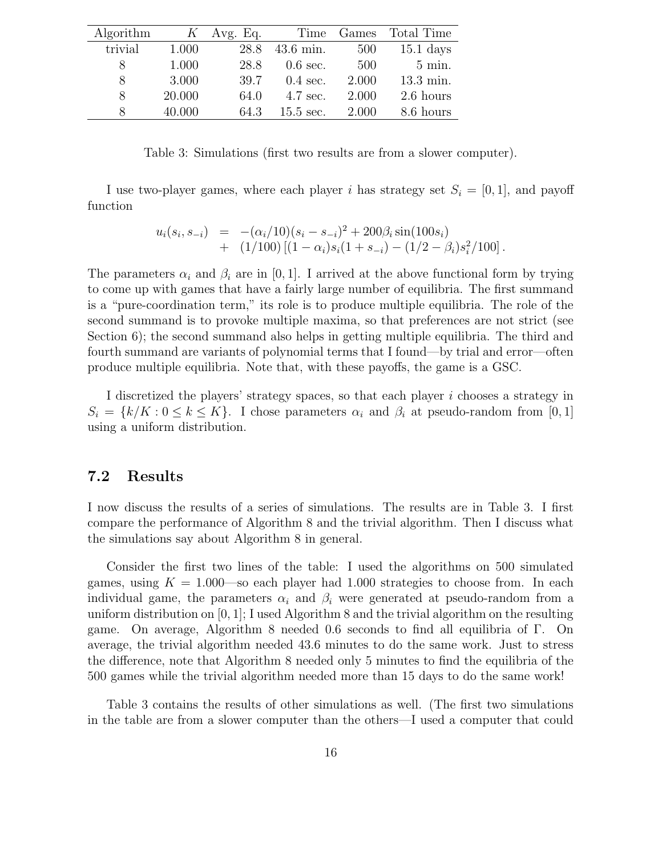| Algorithm | K      | Avg. Eq. | Time               | Games | Total Time       |
|-----------|--------|----------|--------------------|-------|------------------|
| trivial   | 1.000  | 28.8     | $43.6$ min.        | 500   | $15.1$ days      |
| 8         | 1.000  | 28.8     | $0.6$ sec.         | 500   | $5 \text{ min.}$ |
| 8         | 3.000  | 39.7     | $0.4 \text{ sec.}$ | 2.000 | 13.3 min.        |
| 8         | 20.000 | 64.0     | $4.7$ sec.         | 2.000 | 2.6 hours        |
| 8         | 40.000 | 64.3     | $15.5$ sec.        | 2.000 | 8.6 hours        |

Table 3: Simulations (first two results are from a slower computer).

I use two-player games, where each player i has strategy set  $S_i = [0, 1]$ , and payoff function

$$
u_i(s_i, s_{-i}) = -(\alpha_i/10)(s_i - s_{-i})^2 + 200\beta_i \sin(100s_i) + (1/100) [(1 - \alpha_i)s_i(1 + s_{-i}) - (1/2 - \beta_i)s_i^2/100].
$$

The parameters  $\alpha_i$  and  $\beta_i$  are in [0, 1]. I arrived at the above functional form by trying to come up with games that have a fairly large number of equilibria. The first summand is a "pure-coordination term," its role is to produce multiple equilibria. The role of the second summand is to provoke multiple maxima, so that preferences are not strict (see Section 6); the second summand also helps in getting multiple equilibria. The third and fourth summand are variants of polynomial terms that I found—by trial and error—often produce multiple equilibria. Note that, with these payoffs, the game is a GSC.

I discretized the players' strategy spaces, so that each player i chooses a strategy in  $S_i = \{k/K : 0 \le k \le K\}.$  I chose parameters  $\alpha_i$  and  $\beta_i$  at pseudo-random from [0, 1] using a uniform distribution.

#### 7.2 Results

I now discuss the results of a series of simulations. The results are in Table 3. I first compare the performance of Algorithm 8 and the trivial algorithm. Then I discuss what the simulations say about Algorithm 8 in general.

Consider the first two lines of the table: I used the algorithms on 500 simulated games, using  $K = 1.000$ —so each player had 1.000 strategies to choose from. In each individual game, the parameters  $\alpha_i$  and  $\beta_i$  were generated at pseudo-random from a uniform distribution on  $[0, 1]$ ; I used Algorithm 8 and the trivial algorithm on the resulting game. On average, Algorithm 8 needed 0.6 seconds to find all equilibria of Γ. On average, the trivial algorithm needed 43.6 minutes to do the same work. Just to stress the difference, note that Algorithm 8 needed only 5 minutes to find the equilibria of the 500 games while the trivial algorithm needed more than 15 days to do the same work!

Table 3 contains the results of other simulations as well. (The first two simulations in the table are from a slower computer than the others—I used a computer that could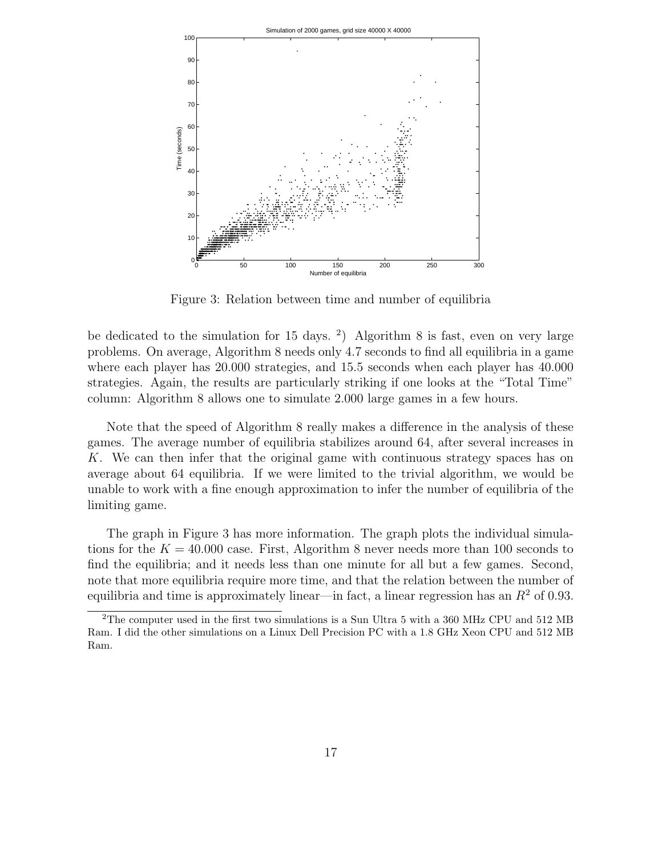

Figure 3: Relation between time and number of equilibria

be dedicated to the simulation for 15 days. <sup>2</sup>) Algorithm 8 is fast, even on very large problems. On average, Algorithm 8 needs only 4.7 seconds to find all equilibria in a game where each player has 20.000 strategies, and 15.5 seconds when each player has 40.000 strategies. Again, the results are particularly striking if one looks at the "Total Time" column: Algorithm 8 allows one to simulate 2.000 large games in a few hours.

Note that the speed of Algorithm 8 really makes a difference in the analysis of these games. The average number of equilibria stabilizes around 64, after several increases in K. We can then infer that the original game with continuous strategy spaces has on average about 64 equilibria. If we were limited to the trivial algorithm, we would be unable to work with a fine enough approximation to infer the number of equilibria of the limiting game.

The graph in Figure 3 has more information. The graph plots the individual simulations for the  $K = 40.000$  case. First, Algorithm 8 never needs more than 100 seconds to find the equilibria; and it needs less than one minute for all but a few games. Second, note that more equilibria require more time, and that the relation between the number of equilibria and time is approximately linear—in fact, a linear regression has an  $R<sup>2</sup>$  of 0.93.

<sup>2</sup>The computer used in the first two simulations is a Sun Ultra 5 with a 360 MHz CPU and 512 MB Ram. I did the other simulations on a Linux Dell Precision PC with a 1.8 GHz Xeon CPU and 512 MB Ram.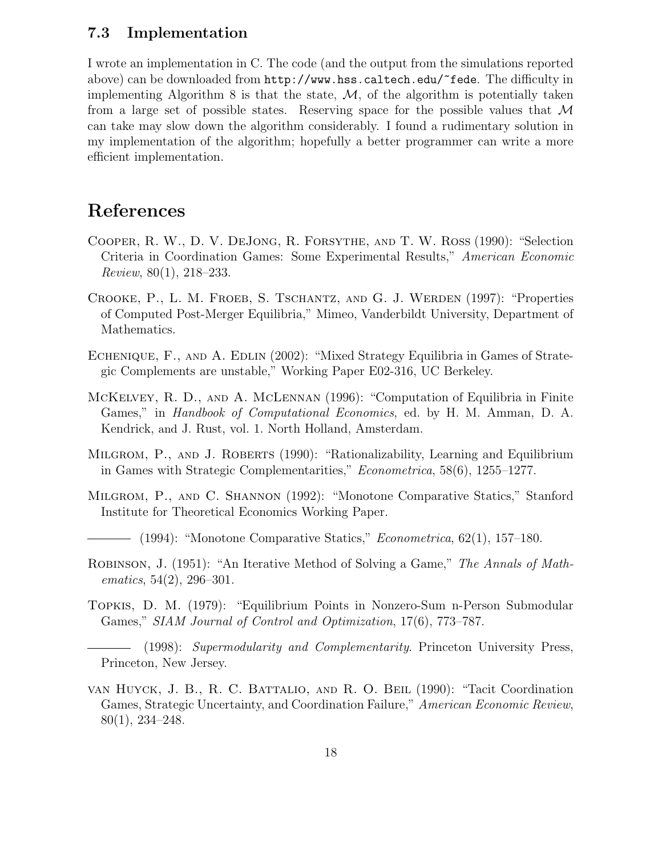#### 7.3 Implementation

I wrote an implementation in C. The code (and the output from the simulations reported above) can be downloaded from http://www.hss.caltech.edu/~fede. The difficulty in implementing Algorithm 8 is that the state,  $\mathcal{M}$ , of the algorithm is potentially taken from a large set of possible states. Reserving space for the possible values that  $\mathcal M$ can take may slow down the algorithm considerably. I found a rudimentary solution in my implementation of the algorithm; hopefully a better programmer can write a more efficient implementation.

### References

- Cooper, R. W., D. V. DeJong, R. Forsythe, and T. W. Ross (1990): "Selection Criteria in Coordination Games: Some Experimental Results," American Economic Review, 80(1), 218–233.
- Crooke, P., L. M. Froeb, S. Tschantz, and G. J. Werden (1997): "Properties of Computed Post-Merger Equilibria," Mimeo, Vanderbildt University, Department of Mathematics.
- ECHENIQUE, F., AND A. EDLIN (2002): "Mixed Strategy Equilibria in Games of Strategic Complements are unstable," Working Paper E02-316, UC Berkeley.
- McKelvey, R. D., and A. McLennan (1996): "Computation of Equilibria in Finite Games," in *Handbook of Computational Economics*, ed. by H. M. Amman, D. A. Kendrick, and J. Rust, vol. 1. North Holland, Amsterdam.
- MILGROM, P., AND J. ROBERTS (1990): "Rationalizability, Learning and Equilibrium in Games with Strategic Complementarities," Econometrica, 58(6), 1255–1277.
- Milgrom, P., and C. Shannon (1992): "Monotone Comparative Statics," Stanford Institute for Theoretical Economics Working Paper.
- $-$  (1994): "Monotone Comparative Statics," *Econometrica*, 62(1), 157–180.
- ROBINSON, J. (1951): "An Iterative Method of Solving a Game," The Annals of Math $ematics, 54(2), 296-301.$
- Topkis, D. M. (1979): "Equilibrium Points in Nonzero-Sum n-Person Submodular Games," SIAM Journal of Control and Optimization, 17(6), 773–787.

(1998): Supermodularity and Complementarity. Princeton University Press, Princeton, New Jersey.

van Huyck, J. B., R. C. Battalio, and R. O. Beil (1990): "Tacit Coordination Games, Strategic Uncertainty, and Coordination Failure," American Economic Review, 80(1), 234–248.